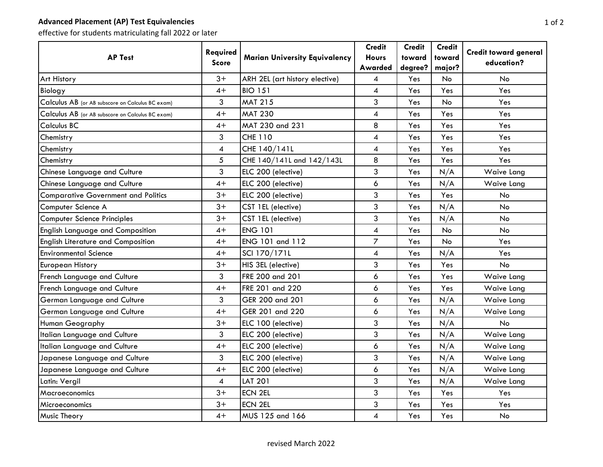## **Advanced Placement (AP) Test Equivalencies**

effective for students matriculating fall 2022 or later

| <b>AP Test</b>                                   | Required<br><b>Score</b> | <b>Marian University Equivalency</b> | Credit<br><b>Hours</b> | <b>Credit</b><br>toward | <b>Credit</b><br>toward | <b>Credit toward general</b><br>education? |
|--------------------------------------------------|--------------------------|--------------------------------------|------------------------|-------------------------|-------------------------|--------------------------------------------|
|                                                  |                          |                                      | Awarded                | degree?                 | major?                  |                                            |
| <b>Art History</b>                               | $3+$                     | ARH 2EL (art history elective)       | 4                      | <b>Yes</b>              | No.                     | No                                         |
| Biology                                          | $4+$                     | <b>BIO 151</b>                       | 4                      | Yes                     | Yes                     | Yes                                        |
| Calculus AB (or AB subscore on Calculus BC exam) | 3                        | <b>MAT 215</b>                       | 3                      | Yes                     | No                      | Yes                                        |
| Calculus AB (or AB subscore on Calculus BC exam) | $4+$                     | <b>MAT 230</b>                       | 4                      | Yes                     | Yes                     | Yes                                        |
| Calculus BC                                      | $4+$                     | MAT 230 and 231                      | 8                      | Yes                     | Yes                     | Yes                                        |
| Chemistry                                        | 3                        | <b>CHE 110</b>                       | 4                      | Yes                     | Yes                     | Yes                                        |
| Chemistry                                        | $\overline{4}$           | CHE 140/141L                         | 4                      | Yes                     | Yes                     | Yes                                        |
| Chemistry                                        | 5                        | CHE 140/141L and 142/143L            | 8                      | Yes                     | Yes                     | Yes                                        |
| Chinese Language and Culture                     | 3                        | ELC 200 (elective)                   | 3                      | Yes                     | N/A                     | Waive Lang                                 |
| Chinese Language and Culture                     | $4+$                     | ELC 200 (elective)                   | 6                      | Yes                     | N/A                     | Waive Lang                                 |
| <b>Comparative Government and Politics</b>       | $3+$                     | ELC 200 (elective)                   | 3                      | Yes                     | Yes                     | No                                         |
| Computer Science A                               | $3+$                     | CST 1EL (elective)                   | 3                      | Yes                     | N/A                     | No.                                        |
| <b>Computer Science Principles</b>               | $3+$                     | CST 1EL (elective)                   | 3                      | <b>Yes</b>              | N/A                     | No.                                        |
| <b>English Language and Composition</b>          | $4+$                     | <b>ENG 101</b>                       | 4                      | <b>Yes</b>              | <b>No</b>               | No.                                        |
| <b>English Literature and Composition</b>        | $4+$                     | ENG 101 and 112                      | 7                      | Yes                     | No.                     | Yes                                        |
| <b>Environmental Science</b>                     | $4+$                     | SCI 170/171L                         | 4                      | Yes                     | N/A                     | Yes                                        |
| European History                                 | $3+$                     | HIS 3EL (elective)                   | 3                      | Yes                     | Yes                     | No                                         |
| French Language and Culture                      | 3                        | FRE 200 and 201                      | 6                      | Yes                     | Yes                     | Waive Lang                                 |
| French Language and Culture                      | $4+$                     | FRE 201 and 220                      | 6                      | Yes                     | Yes                     | Waive Lang                                 |
| German Language and Culture                      | 3                        | GER 200 and 201                      | 6                      | Yes                     | N/A                     | Waive Lang                                 |
| German Language and Culture                      | $4+$                     | GER 201 and 220                      | 6                      | Yes                     | N/A                     | Waive Lang                                 |
| Human Geography                                  | $3+$                     | ELC 100 (elective)                   | 3                      | Yes                     | N/A                     | No.                                        |
| Italian Language and Culture                     | 3                        | ELC 200 (elective)                   | 3                      | Yes                     | N/A                     | Waive Lang                                 |
| Italian Language and Culture                     | $4+$                     | ELC 200 (elective)                   | 6                      | <b>Yes</b>              | N/A                     | Waive Lang                                 |
| Japanese Language and Culture                    | 3                        | ELC 200 (elective)                   | 3                      | Yes                     | N/A                     | Waive Lang                                 |
| Japanese Language and Culture                    | $4+$                     | ELC 200 (elective)                   | 6                      | Yes                     | N/A                     | Waive Lang                                 |
| Latin: Vergil                                    | $\overline{\mathbf{4}}$  | <b>LAT 201</b>                       | 3                      | Yes                     | N/A                     | Waive Lang                                 |
| <b>Macroeconomics</b>                            | $3+$                     | <b>ECN 2EL</b>                       | 3                      | Yes                     | Yes                     | Yes                                        |
| Microeconomics                                   | $3+$                     | <b>ECN 2EL</b>                       | 3                      | Yes                     | Yes                     | Yes                                        |
| <b>Music Theory</b>                              | $4+$                     | MUS 125 and 166                      | 4                      | <b>Yes</b>              | Yes                     | No.                                        |